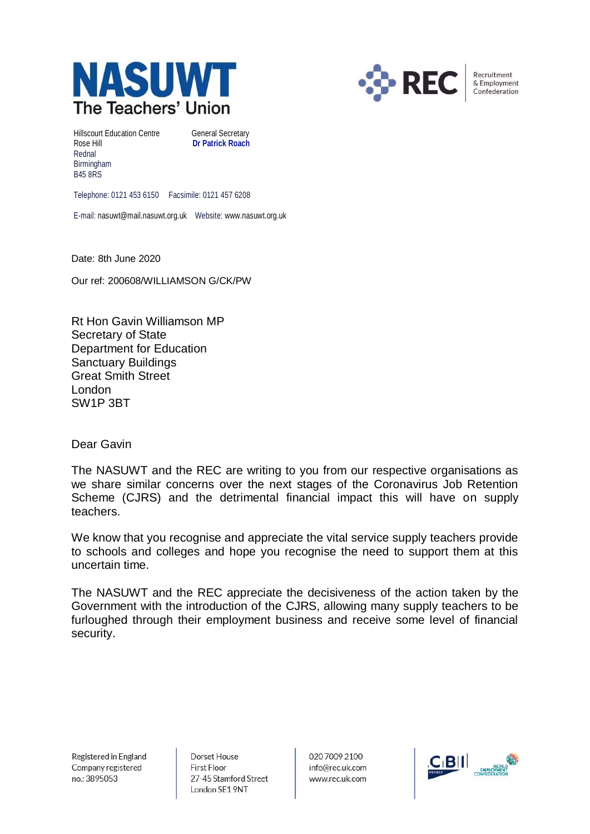



Recruitment & Employment Confederation

Hillscourt Education Centre **General Secretary** Rose Hill **Dr Patrick Roach** Rednal Birmingham B45 8RS

Telephone: 0121 453 6150 Facsimile: 0121 457 6208

E-mail: nasuwt@mail.nasuwt.org.uk Website: www.nasuwt.org.uk

Date: 8th June 2020

Our ref: 200608/WILLIAMSON G/CK/PW

Rt Hon Gavin Williamson MP Secretary of State Department for Education Sanctuary Buildings Great Smith Street London SW1P 3BT

Dear Gavin

The NASUWT and the REC are writing to you from our respective organisations as we share similar concerns over the next stages of the Coronavirus Job Retention Scheme (CJRS) and the detrimental financial impact this will have on supply teachers.

We know that you recognise and appreciate the vital service supply teachers provide to schools and colleges and hope you recognise the need to support them at this uncertain time.

The NASUWT and the REC appreciate the decisiveness of the action taken by the Government with the introduction of the CJRS, allowing many supply teachers to be furloughed through their employment business and receive some level of financial security.

Registered in England Company registered no.: 3895053

Dorset House **First Floor** 27-45 Stamford Street London SE1 9NT

020 7009 2100 info@rec.uk.com www.rec.uk.com

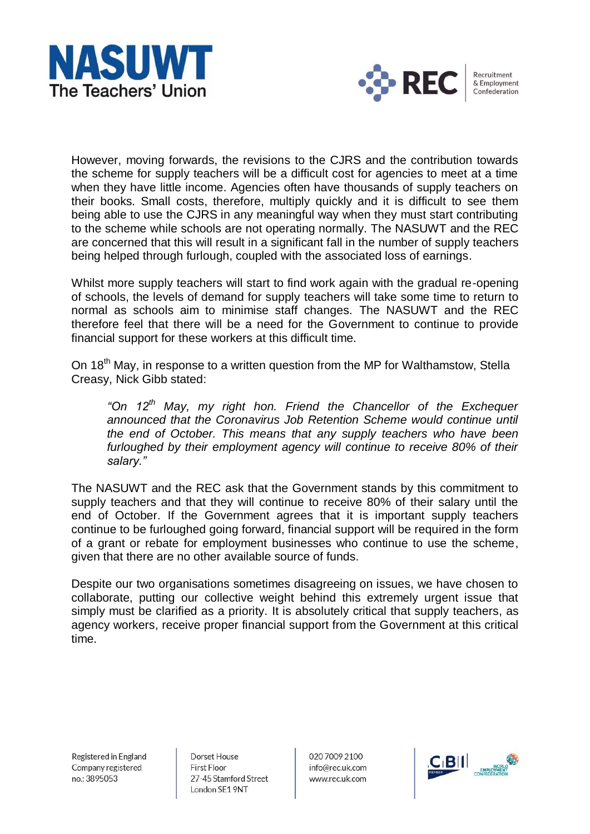



Recruitment & Employment Confederation

However, moving forwards, the revisions to the CJRS and the contribution towards the scheme for supply teachers will be a difficult cost for agencies to meet at a time when they have little income. Agencies often have thousands of supply teachers on their books. Small costs, therefore, multiply quickly and it is difficult to see them being able to use the CJRS in any meaningful way when they must start contributing to the scheme while schools are not operating normally. The NASUWT and the REC are concerned that this will result in a significant fall in the number of supply teachers being helped through furlough, coupled with the associated loss of earnings.

Whilst more supply teachers will start to find work again with the gradual re-opening of schools, the levels of demand for supply teachers will take some time to return to normal as schools aim to minimise staff changes. The NASUWT and the REC therefore feel that there will be a need for the Government to continue to provide financial support for these workers at this difficult time.

On 18<sup>th</sup> May, in response to a written question from the MP for Walthamstow, Stella Creasy, Nick Gibb stated:

*"On 12th May, my right hon. Friend the Chancellor of the Exchequer announced that the Coronavirus Job Retention Scheme would continue until the end of October. This means that any supply teachers who have been furloughed by their employment agency will continue to receive 80% of their salary."*

The NASUWT and the REC ask that the Government stands by this commitment to supply teachers and that they will continue to receive 80% of their salary until the end of October. If the Government agrees that it is important supply teachers continue to be furloughed going forward, financial support will be required in the form of a grant or rebate for employment businesses who continue to use the scheme, given that there are no other available source of funds.

Despite our two organisations sometimes disagreeing on issues, we have chosen to collaborate, putting our collective weight behind this extremely urgent issue that simply must be clarified as a priority. It is absolutely critical that supply teachers, as agency workers, receive proper financial support from the Government at this critical time.

Registered in England Company registered no.: 3895053

Dorset House First Floor 27-45 Stamford Street London SE1 9NT

020 7009 2100 info@rec.uk.com www.rec.uk.com